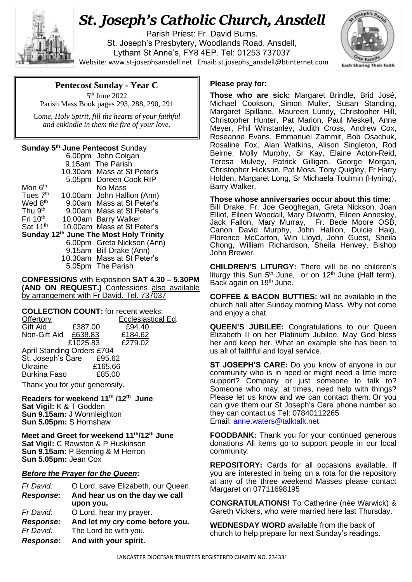

# *St. Joseph's Catholic Church, Ansdell*

Parish Priest: Fr. David Burns. St. Joseph's Presbytery, Woodlands Road, Ansdell, Lytham St Anne's, FY8 4EP. Tel: 01253 737037 Website[: www.st-josephsansdell.net](http://www.st-josephsansdell.net/) Email: [st.josephs\\_ansdell@btinternet.com](mailto:st.josephs_ansdell@btinternet.com)



# **Pentecost Sunday - Year C**

5 th June 2022 Parish Mass Book pages 293, 288, 290, 291

 *Come, Holy Spirit, fill the hearts of your faithful and enkindle in them the fire of your love.*

#### **Sunday 5 th June Pentecost** Sunday

|                                        |  | 6.00pm John Colgan         |
|----------------------------------------|--|----------------------------|
|                                        |  | 9.15am The Parish          |
|                                        |  | 10.30am Mass at St Peter's |
|                                        |  | 5.05pm Doreen Cook RIP     |
| Mon 6 <sup>th</sup>                    |  | No Mass                    |
| Tues 7 <sup>th</sup>                   |  | 10.00am John Hallion (Ann) |
| Wed 8 <sup>th</sup>                    |  | 9.00am Mass at St Peter's  |
| Thu 9 <sup>th</sup>                    |  | 9.00am Mass at St Peter's  |
| Fri $10th$                             |  | 10.00am Barry Walker       |
| Sat 11 <sup>th</sup>                   |  | 10.00am Mass at St Peter's |
| Sunday 12th June The Most Holy Trinity |  |                            |
|                                        |  | 6.00pm Greta Nickson (Ann) |
|                                        |  | 9.15am Bill Drake (Ann)    |
|                                        |  | 10.30am Mass at St Peter's |
|                                        |  | 5.05pm The Parish          |
|                                        |  |                            |

**CONFESSIONS** with Exposition **SAT 4.30 – 5.30PM (AND ON REQUEST.)** Confessions also available by arrangement with Fr David. Tel. 737037

| <b>COLLECTION COUNT:</b> for recent weeks: |          |                           |  |  |
|--------------------------------------------|----------|---------------------------|--|--|
| <b>Offertory</b>                           |          | <b>Ecclesiastical Ed.</b> |  |  |
| Gift Aid                                   | £387.00  | £94.40                    |  |  |
| Non-Gift Aid £638.83                       |          | £184.62                   |  |  |
|                                            | £1025.83 | £279.02                   |  |  |
| <b>April Standing Orders £704</b>          |          |                           |  |  |
| St. Joseph's Care £95.62                   |          |                           |  |  |
| Ukraine                                    | £165.66  |                           |  |  |
| <b>Burkina Faso</b>                        | £85.00   |                           |  |  |

Thank you for your generosity.

**Readers for weekend 11th /12th June Sat Vigil:** K & T Godden **Sun 9.15am:** J Wormleighton **Sun 5.05pm:** S Hornshaw

**Meet and Greet for weekend 11th/12th June Sat Vigil:** C Rawston & P Huskinson **Sun 9.15am:** P Benning & M Herron **Sun 5.05pm:** Jean Cox

## *Before the Prayer for the Queen***:**

| Fr David:        | O Lord, save Elizabeth, our Queen. |
|------------------|------------------------------------|
| <b>Response:</b> | And hear us on the day we call     |
|                  | upon you.                          |
| Fr David:        | O Lord, hear my prayer.            |
| <b>Response:</b> | And let my cry come before you.    |
| Fr David:        | The Lord be with you.              |
| <b>Response:</b> | And with your spirit.              |

#### **Please pray for:**

**Those who are sick:** Margaret Brindle, Brid José, Michael Cookson, Simon Muller, Susan Standing, Margaret Spillane, Maureen Lundy, Christopher Hill, Christopher Hunter, Pat Marion, Paul Meskell, Anne Meyer, Phil Winstanley, Judith Cross, Andrew Cox, Roseanne Evans, Emmanuel Zammit, Bob Osachuk, Rosaline Fox, Alan Watkins, Alison Singleton, Rod Beirne, Molly Murphy, Sr Kay, Elaine Acton-Reid, Teresa Mulvey, Patrick Gilligan, George Morgan, Christopher Hickson, Pat Moss, Tony Quigley, Fr Harry Holden, Margaret Long, Sr Michaela Toulmin (Hyning), Barry Walker.

. Chong, William Richardson, Sheila Henvey, Bishop **Those whose anniversaries occur about this time:** Bill Drake, Fr. Joe Geoghegan, Greta Nickson, Joan Elliot, Eileen Woodall, Mary Dilworth, Eileen Annesley, Jack Fallon, Mary Murray, Fr. Bede Moore OSB, Canon David Murphy, John Hallion, Dulcie Haig, Florence McCarton, Win Lloyd, John Guest, Sheila John Brewer.

**CHILDREN'S LITURGY:** There will be no children's liturgy this Sun  $5<sup>th</sup>$  June, or on 12<sup>th</sup> June (Half term). Back again on 19<sup>th</sup> June.

**COFFEE & BACON BUTTIES:** will be available in the church hall after Sunday morning Mass. Why not come and enjoy a chat.

**QUEEN'S JUBILEE:** Congratulations to our Queen Elizabeth II on her Platinum Jubilee. May God bless her and keep her. What an example she has been to us all of faithful and loyal service.

**ST JOSEPH'S CARE:** Do you know of anyone in our community who is in need or might need a little more support? Company or just someone to talk to? Someone who may, at times, need help with things? Please let us know and we can contact them. Or you can give them our St Joseph's Care phone number so they can contact us Tel: 07840112265 Email: [anne.waters@talktalk.net](mailto:anne.waters@talktalk.net)

**FOODBANK:** Thank you for your continued generous donations All items go to support people in our local community.

**REPOSITORY:** Cards for all occasions available. If you are interested in being on a rota for the repository at any of the three weekend Masses please contact Margaret on 07711698195

**CONGRATULATIONS!** To Catherine (née Warwick) & Gareth Vickers, who were married here last Thursday.

**WEDNESDAY WORD** available from the back of church to help prepare for next Sunday's readings.